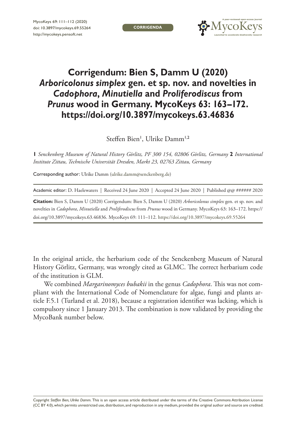**Corrigenda**



## **Corrigendum: Bien S, Damm U (2020)** *Arboricolonus simplex* **gen. et sp. nov. and novelties in** *Cadophora***,** *Minutiella* **and** *Proliferodiscus* **from** *Prunus* **wood in Germany. MycoKeys 63: 163–172. <https://doi.org/10.3897/mycokeys.63.46836>**

Steffen Bien<sup>1</sup>, Ulrike Damm<sup>1,2</sup>

**1** *Senckenberg Museum of Natural History Görlitz, PF 300 154, 02806 Görlitz, Germany* **2** *International Institute Zittau, Technische Universität Dresden, Markt 23, 02763 Zittau, Germany*

Corresponding author: Ulrike Damm [\(ulrike.damm@senckenberg.de](mailto:ulrike.damm@senckenberg.de))

Academic editor: D. Haelewaters | Received 24 June 2020 | Accepted 24 June 2020 | Published @@ ###### 2020

**Citation:** Bien S, Damm U (2020) Corrigendum: Bien S, Damm U (2020) *Arboricolonus simplex* gen. et sp. nov. and novelties in *Cadophora*, *Minutiella* and *Proliferodiscus* from *Prunus* wood in Germany. MycoKeys 63: 163–172. [https://](https://doi.org/10.3897/mycokeys.63.46836) [doi.org/10.3897/mycokeys.63.46836.](https://doi.org/10.3897/mycokeys.63.46836) MycoKeys 69: 111–112. <https://doi.org/10.3897/mycokeys.69.55264>

In the original article, the herbarium code of the Senckenberg Museum of Natural History Görlitz, Germany, was wrongly cited as GLMC. The correct herbarium code of the institution is GLM.

We combined *Margarinomyces bubakii* in the genus *Cadophora*. This was not compliant with the International Code of Nomenclature for algae, fungi and plants article F.5.1 (Turland et al. 2018), because a registration identifier was lacking, which is compulsory since 1 January 2013. The combination is now validated by providing the MycoBank number below.